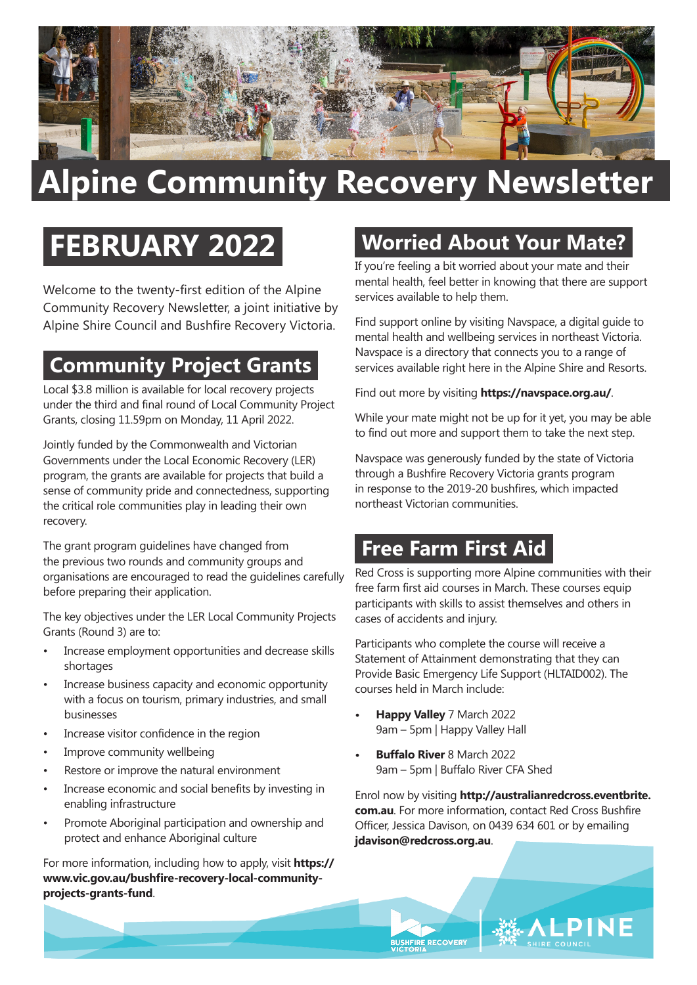

# **Alpine Community Recovery Newsletter**

# **FEBRUARY 2022**

Welcome to the twenty-first edition of the Alpine Community Recovery Newsletter, a joint initiative by Alpine Shire Council and Bushfire Recovery Victoria.

## **Community Project Grants**

Local \$3.8 million is available for local recovery projects under the third and final round of Local Community Project Grants, closing 11.59pm on Monday, 11 April 2022.

Jointly funded by the Commonwealth and Victorian Governments under the Local Economic Recovery (LER) program, the grants are available for projects that build a sense of community pride and connectedness, supporting the critical role communities play in leading their own recovery.

The grant program guidelines have changed from the previous two rounds and community groups and organisations are encouraged to read the guidelines carefully before preparing their application.

The key objectives under the LER Local Community Projects Grants (Round 3) are to:

- Increase employment opportunities and decrease skills shortages
- Increase business capacity and economic opportunity with a focus on tourism, primary industries, and small businesses
- Increase visitor confidence in the region
- Improve community wellbeing
- Restore or improve the natural environment
- Increase economic and social benefits by investing in enabling infrastructure
- Promote Aboriginal participation and ownership and protect and enhance Aboriginal culture

For more information, including how to apply, visit **[https://](https://www.vic.gov.au/bushfire-recovery-local-community-projects-grants-fund) [www.vic.gov.au/bushfire-recovery-local-community](https://www.vic.gov.au/bushfire-recovery-local-community-projects-grants-fund)[projects-grants-fund](https://www.vic.gov.au/bushfire-recovery-local-community-projects-grants-fund)**.

### **Worried About Your Mate?**

If you're feeling a bit worried about your mate and their mental health, feel better in knowing that there are support services available to help them.

Find support online by visiting Navspace, a digital guide to mental health and wellbeing services in northeast Victoria. Navspace is a directory that connects you to a range of services available right here in the Alpine Shire and Resorts.

Find out more by visiting **<https://navspace.org.au/>**.

While your mate might not be up for it yet, you may be able to find out more and support them to take the next step.

Navspace was generously funded by the state of Victoria through a Bushfire Recovery Victoria grants program in response to the 2019-20 bushfires, which impacted northeast Victorian communities.

#### **Free Farm First Aid**

Red Cross is supporting more Alpine communities with their free farm first aid courses in March. These courses equip participants with skills to assist themselves and others in cases of accidents and injury.

Participants who complete the course will receive a Statement of Attainment demonstrating that they can Provide Basic Emergency Life Support (HLTAID002). The courses held in March include:

**• Happy Valley** 7 March 2022 9am – 5pm | Happy Valley Hall

**BUSHFIRE RECOVERY** 

**• Buffalo River** 8 March 2022 9am – 5pm | Buffalo River CFA Shed

Enrol now by visiting **[http://australianredcross.eventbrite.](http://australianredcross.eventbrite.com.au) [com.au](http://australianredcross.eventbrite.com.au)**. For more information, contact Red Cross Bushfire Officer, Jessica Davison, on 0439 634 601 or by emailing **[jdavison@redcross.org.au](mailto:jdavison%40redcross.org.au?subject=Farm%20First%20Aid%20Course)**.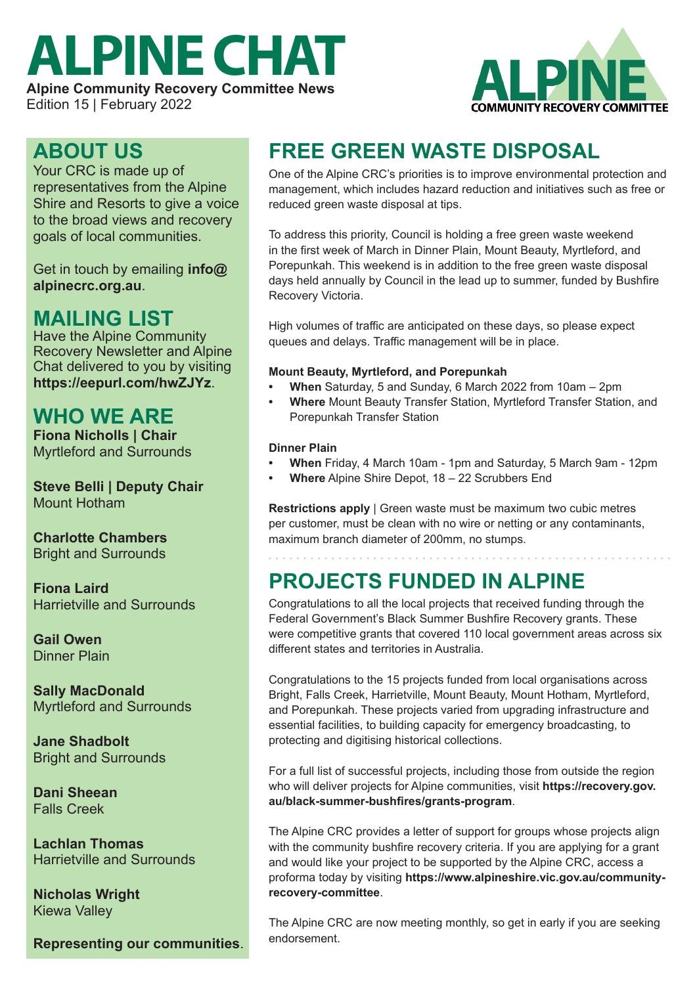# **ALPINE CHAT**

**Alpine Community Recovery Committee News** Edition 15 | February 2022



#### **ABOUT US**

Your CRC is made up of representatives from the Alpine Shire and Resorts to give a voice to the broad views and recovery goals of local communities.

Get in touch by emailing **[info@](mailto:info%40alpinecrc.org.au?subject=) [alpinecrc.org.au](mailto:info%40alpinecrc.org.au?subject=)**.

#### **MAILING LIST**

Have the Alpine Community Recovery Newsletter and Alpine Chat delivered to you by visiting **<https://eepurl.com/hwZJYz>**.

#### **WHO WE ARE**

**Fiona Nicholls | Chair** Myrtleford and Surrounds

**Steve Belli | Deputy Chair** Mount Hotham

#### **Charlotte Chambers** Bright and Surrounds

**Fiona Laird** Harrietville and Surrounds

**Gail Owen** Dinner Plain

**Sally MacDonald** Myrtleford and Surrounds

**Jane Shadbolt** Bright and Surrounds

**Dani Sheean** Falls Creek

**Lachlan Thomas** Harrietville and Surrounds

**Nicholas Wright** Kiewa Valley

**Representing our communities**.

## **FREE GREEN WASTE DISPOSAL**

One of the Alpine CRC's priorities is to improve environmental protection and management, which includes hazard reduction and initiatives such as free or reduced green waste disposal at tips.

To address this priority, Council is holding a free green waste weekend in the first week of March in Dinner Plain, Mount Beauty, Myrtleford, and Porepunkah. This weekend is in addition to the free green waste disposal days held annually by Council in the lead up to summer, funded by Bushfire Recovery Victoria.

High volumes of traffic are anticipated on these days, so please expect queues and delays. Traffic management will be in place.

#### **Mount Beauty, Myrtleford, and Porepunkah**

- **• When** Saturday, 5 and Sunday, 6 March 2022 from 10am 2pm
- **• Where** Mount Beauty Transfer Station, Myrtleford Transfer Station, and Porepunkah Transfer Station

#### **Dinner Plain**

- **• When** Friday, 4 March 10am 1pm and Saturday, 5 March 9am 12pm
- **• Where** Alpine Shire Depot, 18 22 Scrubbers End

**Restrictions apply** | Green waste must be maximum two cubic metres per customer, must be clean with no wire or netting or any contaminants, maximum branch diameter of 200mm, no stumps.

#### **PROJECTS FUNDED IN ALPINE**

Congratulations to all the local projects that received funding through the Federal Government's Black Summer Bushfire Recovery grants. These were competitive grants that covered 110 local government areas across six different states and territories in Australia.

Congratulations to the 15 projects funded from local organisations across Bright, Falls Creek, Harrietville, Mount Beauty, Mount Hotham, Myrtleford, and Porepunkah. These projects varied from upgrading infrastructure and essential facilities, to building capacity for emergency broadcasting, to protecting and digitising historical collections.

For a full list of successful projects, including those from outside the region who will deliver projects for Alpine communities, visit **[https://recovery.gov.](https://recovery.gov.au/black-summer-bushfires/grants-program) [au/black-summer-bushfires/grants-program](https://recovery.gov.au/black-summer-bushfires/grants-program)**.

The Alpine CRC provides a letter of support for groups whose projects align with the community bushfire recovery criteria. If you are applying for a grant and would like your project to be supported by the Alpine CRC, access a proforma today by visiting **[https://www.alpineshire.vic.gov.au/community](https://www.alpineshire.vic.gov.au/community-recovery-committee)[recovery-committee](https://www.alpineshire.vic.gov.au/community-recovery-committee)**.

The Alpine CRC are now meeting monthly, so get in early if you are seeking endorsement.